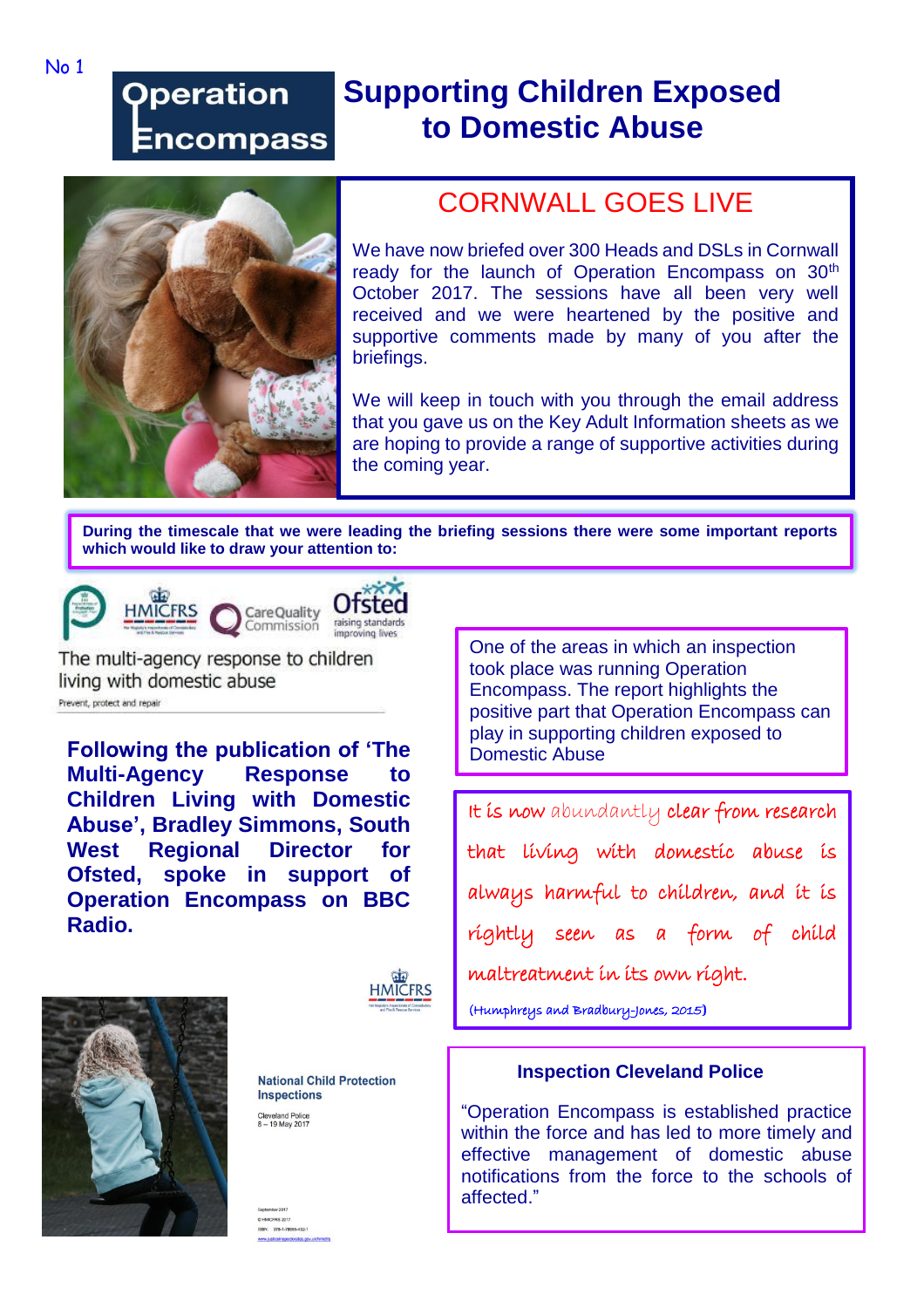## **Operation** Encompass

## **Supporting Children Exposed to Domestic Abuse**



## CORNWALL GOES LIVE

We have now briefed over 300 Heads and DSLs in Cornwall ready for the launch of Operation Encompass on 30<sup>th</sup> October 2017. The sessions have all been very well received and we were heartened by the positive and supportive comments made by many of you after the briefings.

We will keep in touch with you through the email address that you gave us on the Key Adult Information sheets as we are hoping to provide a range of supportive activities during the coming year.

**During the timescale that we were leading the briefing sessions there were some important reports which would like to draw your attention to:**





**HMICFRS** 





The multi-agency response to children living with domestic abuse Prevent, protect and repair

**Following the publication of 'The Multi-Agency Response to Children Living with Domestic Abuse', Bradley Simmons, South West Regional Director for Ofsted, spoke in support of Operation Encompass on BBC Radio.**





**National Child Protection Inspections** Cleveland Police<br>8 - 19 May 2017

One of the areas in which an inspection took place was running Operation Encompass. The report highlights the positive part that Operation Encompass can play in supporting children exposed to Domestic Abuse

It is now abundantly clear from research that living with domestic abuse is always harmful to children, and it is rightly seen as a form of child maltreatment in its own right.

(Humphreys and Bradbury-Jones, 2015**)**

## **Inspection Cleveland Police**

"Operation Encompass is established practice within the force and has led to more timely and effective management of domestic abuse notifications from the force to the schools of affected."